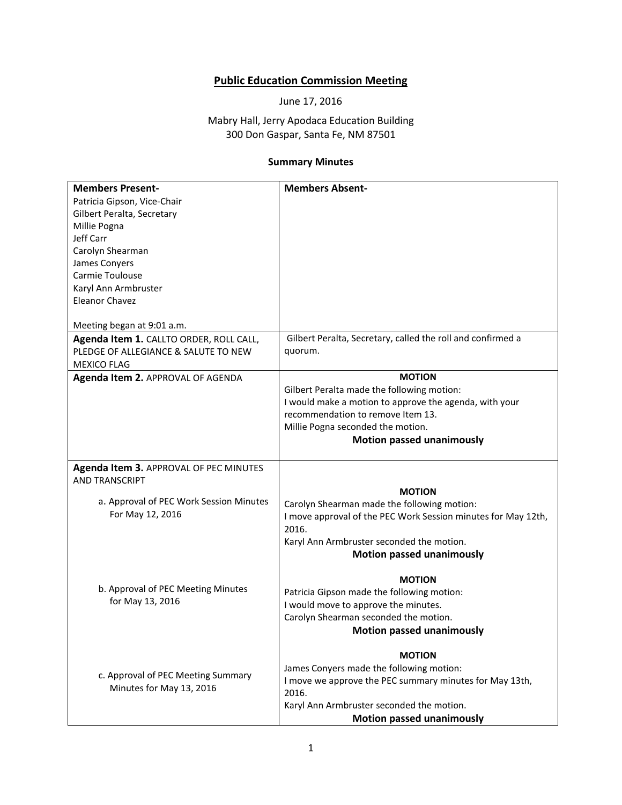## **Public Education Commission Meeting**

June 17, 2016

## Mabry Hall, Jerry Apodaca Education Building 300 Don Gaspar, Santa Fe, NM 87501

## **Summary Minutes**

| <b>Members Present-</b>                 | <b>Members Absent-</b>                                        |
|-----------------------------------------|---------------------------------------------------------------|
| Patricia Gipson, Vice-Chair             |                                                               |
| Gilbert Peralta, Secretary              |                                                               |
| Millie Pogna                            |                                                               |
| Jeff Carr                               |                                                               |
| Carolyn Shearman                        |                                                               |
| James Conyers                           |                                                               |
|                                         |                                                               |
| Carmie Toulouse                         |                                                               |
| Karyl Ann Armbruster                    |                                                               |
| <b>Eleanor Chavez</b>                   |                                                               |
|                                         |                                                               |
| Meeting began at 9:01 a.m.              |                                                               |
| Agenda Item 1. CALLTO ORDER, ROLL CALL, | Gilbert Peralta, Secretary, called the roll and confirmed a   |
| PLEDGE OF ALLEGIANCE & SALUTE TO NEW    | quorum.                                                       |
| <b>MEXICO FLAG</b>                      |                                                               |
| Agenda Item 2. APPROVAL OF AGENDA       | <b>MOTION</b>                                                 |
|                                         | Gilbert Peralta made the following motion:                    |
|                                         | I would make a motion to approve the agenda, with your        |
|                                         | recommendation to remove Item 13.                             |
|                                         | Millie Pogna seconded the motion.                             |
|                                         |                                                               |
|                                         | <b>Motion passed unanimously</b>                              |
|                                         |                                                               |
| Agenda Item 3. APPROVAL OF PEC MINUTES  |                                                               |
| <b>AND TRANSCRIPT</b>                   |                                                               |
|                                         | <b>MOTION</b>                                                 |
| a. Approval of PEC Work Session Minutes | Carolyn Shearman made the following motion:                   |
| For May 12, 2016                        | I move approval of the PEC Work Session minutes for May 12th, |
|                                         | 2016.                                                         |
|                                         | Karyl Ann Armbruster seconded the motion.                     |
|                                         | <b>Motion passed unanimously</b>                              |
|                                         |                                                               |
|                                         | <b>MOTION</b>                                                 |
| b. Approval of PEC Meeting Minutes      | Patricia Gipson made the following motion:                    |
| for May 13, 2016                        | I would move to approve the minutes.                          |
|                                         |                                                               |
|                                         | Carolyn Shearman seconded the motion.                         |
|                                         | <b>Motion passed unanimously</b>                              |
|                                         | <b>MOTION</b>                                                 |
|                                         | James Conyers made the following motion:                      |
| c. Approval of PEC Meeting Summary      | I move we approve the PEC summary minutes for May 13th,       |
| Minutes for May 13, 2016                |                                                               |
|                                         | 2016.                                                         |
|                                         | Karyl Ann Armbruster seconded the motion.                     |
|                                         | <b>Motion passed unanimously</b>                              |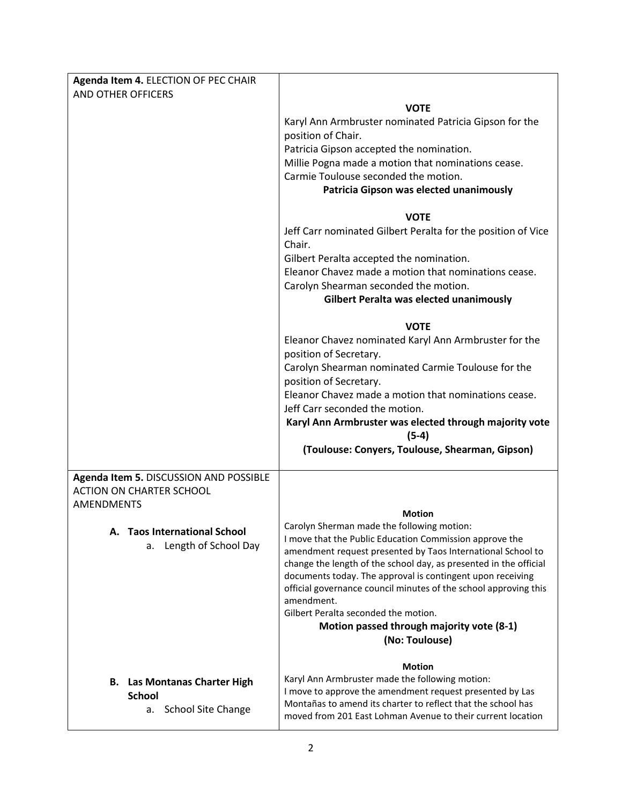| Agenda Item 4. ELECTION OF PEC CHAIR                                      |                                                                                                                             |
|---------------------------------------------------------------------------|-----------------------------------------------------------------------------------------------------------------------------|
| AND OTHER OFFICERS                                                        |                                                                                                                             |
|                                                                           | <b>VOTE</b>                                                                                                                 |
|                                                                           | Karyl Ann Armbruster nominated Patricia Gipson for the<br>position of Chair.                                                |
|                                                                           | Patricia Gipson accepted the nomination.                                                                                    |
|                                                                           | Millie Pogna made a motion that nominations cease.                                                                          |
|                                                                           | Carmie Toulouse seconded the motion.                                                                                        |
|                                                                           | Patricia Gipson was elected unanimously                                                                                     |
|                                                                           |                                                                                                                             |
|                                                                           | <b>VOTE</b>                                                                                                                 |
|                                                                           | Jeff Carr nominated Gilbert Peralta for the position of Vice<br>Chair.                                                      |
|                                                                           | Gilbert Peralta accepted the nomination.                                                                                    |
|                                                                           | Eleanor Chavez made a motion that nominations cease.                                                                        |
|                                                                           | Carolyn Shearman seconded the motion.                                                                                       |
|                                                                           | Gilbert Peralta was elected unanimously                                                                                     |
|                                                                           | <b>VOTE</b>                                                                                                                 |
|                                                                           | Eleanor Chavez nominated Karyl Ann Armbruster for the                                                                       |
|                                                                           | position of Secretary.                                                                                                      |
|                                                                           | Carolyn Shearman nominated Carmie Toulouse for the                                                                          |
|                                                                           | position of Secretary.                                                                                                      |
|                                                                           | Eleanor Chavez made a motion that nominations cease.                                                                        |
|                                                                           | Jeff Carr seconded the motion.<br>Karyl Ann Armbruster was elected through majority vote                                    |
|                                                                           | $(5-4)$                                                                                                                     |
|                                                                           | (Toulouse: Conyers, Toulouse, Shearman, Gipson)                                                                             |
|                                                                           |                                                                                                                             |
| Agenda Item 5. DISCUSSION AND POSSIBLE<br><b>ACTION ON CHARTER SCHOOL</b> |                                                                                                                             |
| <b>AMENDMENTS</b>                                                         |                                                                                                                             |
|                                                                           | <b>Motion</b>                                                                                                               |
| <b>Taos International School</b><br>А.                                    | Carolyn Sherman made the following motion:                                                                                  |
| Length of School Day<br>a.                                                | I move that the Public Education Commission approve the<br>amendment request presented by Taos International School to      |
|                                                                           | change the length of the school day, as presented in the official                                                           |
|                                                                           | documents today. The approval is contingent upon receiving                                                                  |
|                                                                           | official governance council minutes of the school approving this<br>amendment.                                              |
|                                                                           | Gilbert Peralta seconded the motion.                                                                                        |
|                                                                           | Motion passed through majority vote (8-1)                                                                                   |
|                                                                           | (No: Toulouse)                                                                                                              |
|                                                                           | <b>Motion</b>                                                                                                               |
| <b>B.</b> Las Montanas Charter High                                       | Karyl Ann Armbruster made the following motion:                                                                             |
| <b>School</b>                                                             | I move to approve the amendment request presented by Las                                                                    |
| <b>School Site Change</b><br>а.                                           | Montañas to amend its charter to reflect that the school has<br>moved from 201 East Lohman Avenue to their current location |
|                                                                           |                                                                                                                             |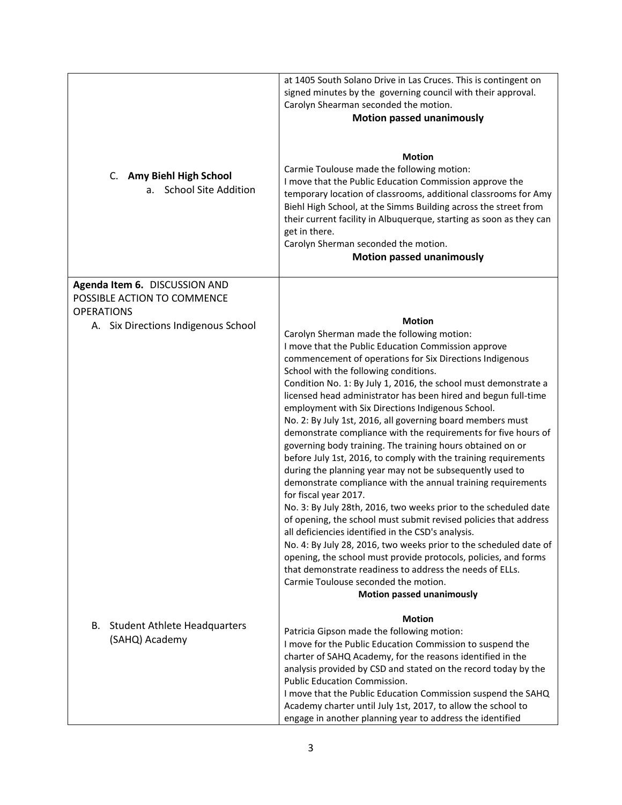| C. Amy Biehl High School<br>a. School Site Addition          | at 1405 South Solano Drive in Las Cruces. This is contingent on<br>signed minutes by the governing council with their approval.<br>Carolyn Shearman seconded the motion.<br><b>Motion passed unanimously</b><br><b>Motion</b><br>Carmie Toulouse made the following motion:<br>I move that the Public Education Commission approve the<br>temporary location of classrooms, additional classrooms for Amy<br>Biehl High School, at the Simms Building across the street from<br>their current facility in Albuquerque, starting as soon as they can<br>get in there.<br>Carolyn Sherman seconded the motion.<br><b>Motion passed unanimously</b>                                                                                                                                                                                                                                                                                                                                                                                                                                                                                                                                                                                                                                                                      |
|--------------------------------------------------------------|-----------------------------------------------------------------------------------------------------------------------------------------------------------------------------------------------------------------------------------------------------------------------------------------------------------------------------------------------------------------------------------------------------------------------------------------------------------------------------------------------------------------------------------------------------------------------------------------------------------------------------------------------------------------------------------------------------------------------------------------------------------------------------------------------------------------------------------------------------------------------------------------------------------------------------------------------------------------------------------------------------------------------------------------------------------------------------------------------------------------------------------------------------------------------------------------------------------------------------------------------------------------------------------------------------------------------|
| Agenda Item 6. DISCUSSION AND<br>POSSIBLE ACTION TO COMMENCE |                                                                                                                                                                                                                                                                                                                                                                                                                                                                                                                                                                                                                                                                                                                                                                                                                                                                                                                                                                                                                                                                                                                                                                                                                                                                                                                       |
| <b>OPERATIONS</b><br>A. Six Directions Indigenous School     | <b>Motion</b><br>Carolyn Sherman made the following motion:<br>I move that the Public Education Commission approve<br>commencement of operations for Six Directions Indigenous<br>School with the following conditions.<br>Condition No. 1: By July 1, 2016, the school must demonstrate a<br>licensed head administrator has been hired and begun full-time<br>employment with Six Directions Indigenous School.<br>No. 2: By July 1st, 2016, all governing board members must<br>demonstrate compliance with the requirements for five hours of<br>governing body training. The training hours obtained on or<br>before July 1st, 2016, to comply with the training requirements<br>during the planning year may not be subsequently used to<br>demonstrate compliance with the annual training requirements<br>for fiscal year 2017.<br>No. 3: By July 28th, 2016, two weeks prior to the scheduled date<br>of opening, the school must submit revised policies that address<br>all deficiencies identified in the CSD's analysis.<br>No. 4: By July 28, 2016, two weeks prior to the scheduled date of<br>opening, the school must provide protocols, policies, and forms<br>that demonstrate readiness to address the needs of ELLs.<br>Carmie Toulouse seconded the motion.<br><b>Motion passed unanimously</b> |
| <b>Student Athlete Headquarters</b><br>В.<br>(SAHQ) Academy  | <b>Motion</b><br>Patricia Gipson made the following motion:<br>I move for the Public Education Commission to suspend the<br>charter of SAHQ Academy, for the reasons identified in the<br>analysis provided by CSD and stated on the record today by the<br>Public Education Commission.<br>I move that the Public Education Commission suspend the SAHQ<br>Academy charter until July 1st, 2017, to allow the school to<br>engage in another planning year to address the identified                                                                                                                                                                                                                                                                                                                                                                                                                                                                                                                                                                                                                                                                                                                                                                                                                                 |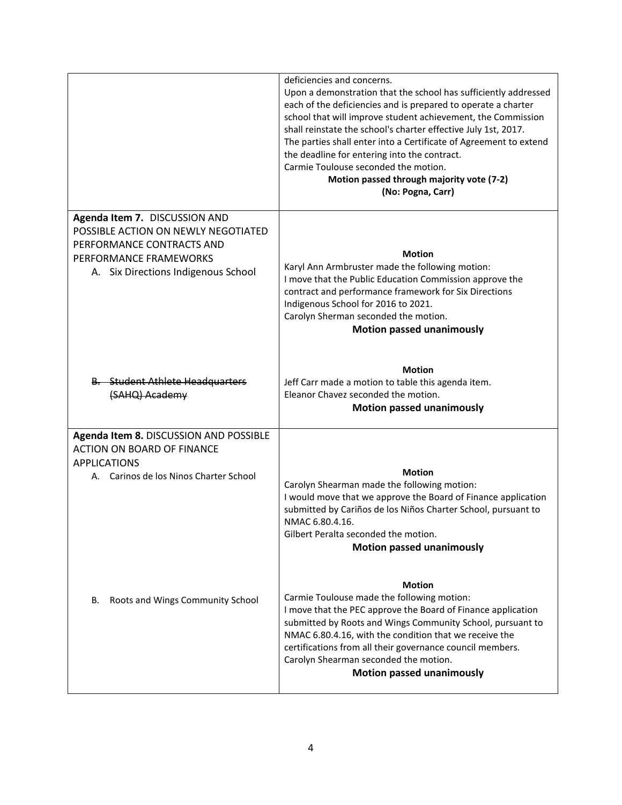|                                                                                                                                                                    | deficiencies and concerns.<br>Upon a demonstration that the school has sufficiently addressed<br>each of the deficiencies and is prepared to operate a charter<br>school that will improve student achievement, the Commission<br>shall reinstate the school's charter effective July 1st, 2017.<br>The parties shall enter into a Certificate of Agreement to extend<br>the deadline for entering into the contract.<br>Carmie Toulouse seconded the motion.<br>Motion passed through majority vote (7-2)<br>(No: Pogna, Carr) |
|--------------------------------------------------------------------------------------------------------------------------------------------------------------------|---------------------------------------------------------------------------------------------------------------------------------------------------------------------------------------------------------------------------------------------------------------------------------------------------------------------------------------------------------------------------------------------------------------------------------------------------------------------------------------------------------------------------------|
| Agenda Item 7. DISCUSSION AND<br>POSSIBLE ACTION ON NEWLY NEGOTIATED<br>PERFORMANCE CONTRACTS AND<br>PERFORMANCE FRAMEWORKS<br>A. Six Directions Indigenous School | <b>Motion</b><br>Karyl Ann Armbruster made the following motion:<br>I move that the Public Education Commission approve the<br>contract and performance framework for Six Directions<br>Indigenous School for 2016 to 2021.<br>Carolyn Sherman seconded the motion.<br><b>Motion passed unanimously</b>                                                                                                                                                                                                                         |
| <b>B.</b> Student Athlete Headquarters<br>(SAHQ) Academy                                                                                                           | <b>Motion</b><br>Jeff Carr made a motion to table this agenda item.<br>Eleanor Chavez seconded the motion.<br><b>Motion passed unanimously</b>                                                                                                                                                                                                                                                                                                                                                                                  |
| Agenda Item 8. DISCUSSION AND POSSIBLE<br><b>ACTION ON BOARD OF FINANCE</b><br><b>APPLICATIONS</b><br>A. Carinos de los Ninos Charter School                       | <b>Motion</b><br>Carolyn Shearman made the following motion:<br>I would move that we approve the Board of Finance application<br>submitted by Cariños de los Niños Charter School, pursuant to<br>NMAC 6.80.4.16.<br>Gilbert Peralta seconded the motion.<br><b>Motion passed unanimously</b>                                                                                                                                                                                                                                   |
| Roots and Wings Community School<br>В.                                                                                                                             | <b>Motion</b><br>Carmie Toulouse made the following motion:<br>I move that the PEC approve the Board of Finance application<br>submitted by Roots and Wings Community School, pursuant to<br>NMAC 6.80.4.16, with the condition that we receive the<br>certifications from all their governance council members.<br>Carolyn Shearman seconded the motion.<br><b>Motion passed unanimously</b>                                                                                                                                   |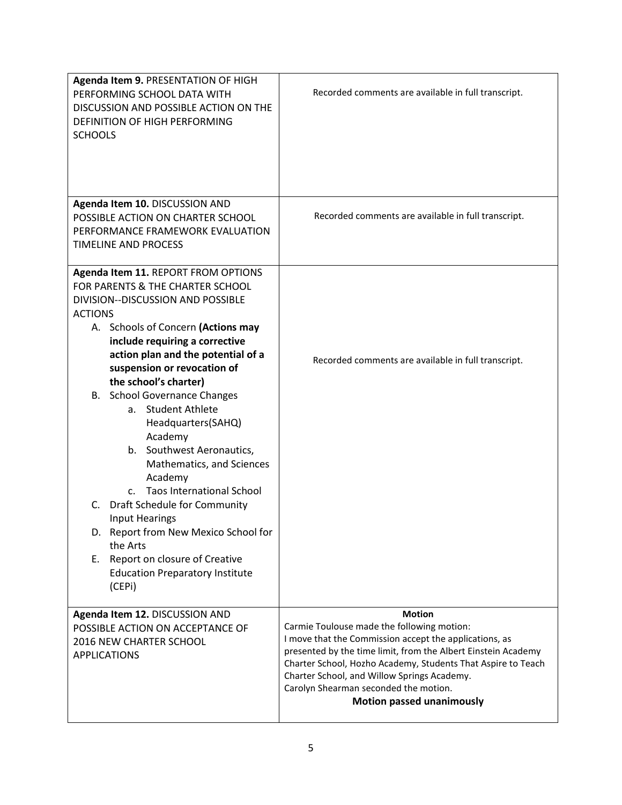| Agenda Item 9. PRESENTATION OF HIGH<br>PERFORMING SCHOOL DATA WITH<br>DISCUSSION AND POSSIBLE ACTION ON THE<br>DEFINITION OF HIGH PERFORMING<br><b>SCHOOLS</b>                                                                                                                                                                                                                                                                                                                                                                                                                                                                                                                                                           | Recorded comments are available in full transcript.                                                                                                                                                                                                                                                                                                                                |
|--------------------------------------------------------------------------------------------------------------------------------------------------------------------------------------------------------------------------------------------------------------------------------------------------------------------------------------------------------------------------------------------------------------------------------------------------------------------------------------------------------------------------------------------------------------------------------------------------------------------------------------------------------------------------------------------------------------------------|------------------------------------------------------------------------------------------------------------------------------------------------------------------------------------------------------------------------------------------------------------------------------------------------------------------------------------------------------------------------------------|
| Agenda Item 10. DISCUSSION AND<br>POSSIBLE ACTION ON CHARTER SCHOOL<br>PERFORMANCE FRAMEWORK EVALUATION<br><b>TIMELINE AND PROCESS</b>                                                                                                                                                                                                                                                                                                                                                                                                                                                                                                                                                                                   | Recorded comments are available in full transcript.                                                                                                                                                                                                                                                                                                                                |
| Agenda Item 11. REPORT FROM OPTIONS<br>FOR PARENTS & THE CHARTER SCHOOL<br>DIVISION--DISCUSSION AND POSSIBLE<br><b>ACTIONS</b><br>A. Schools of Concern (Actions may<br>include requiring a corrective<br>action plan and the potential of a<br>suspension or revocation of<br>the school's charter)<br><b>B.</b> School Governance Changes<br>a. Student Athlete<br>Headquarters(SAHQ)<br>Academy<br>b. Southwest Aeronautics,<br>Mathematics, and Sciences<br>Academy<br>c. Taos International School<br>Draft Schedule for Community<br>C.<br><b>Input Hearings</b><br>Report from New Mexico School for<br>D.<br>the Arts<br>Report on closure of Creative<br>Е.<br><b>Education Preparatory Institute</b><br>(CEPi) | Recorded comments are available in full transcript.                                                                                                                                                                                                                                                                                                                                |
| Agenda Item 12. DISCUSSION AND<br>POSSIBLE ACTION ON ACCEPTANCE OF<br>2016 NEW CHARTER SCHOOL<br><b>APPLICATIONS</b>                                                                                                                                                                                                                                                                                                                                                                                                                                                                                                                                                                                                     | <b>Motion</b><br>Carmie Toulouse made the following motion:<br>I move that the Commission accept the applications, as<br>presented by the time limit, from the Albert Einstein Academy<br>Charter School, Hozho Academy, Students That Aspire to Teach<br>Charter School, and Willow Springs Academy.<br>Carolyn Shearman seconded the motion.<br><b>Motion passed unanimously</b> |